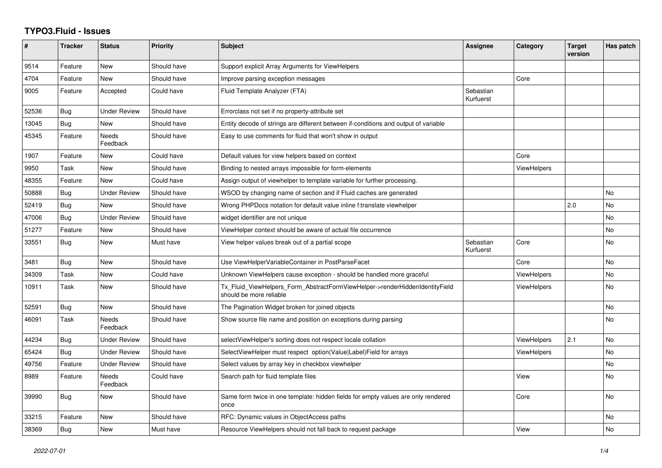## **TYPO3.Fluid - Issues**

| #     | <b>Tracker</b> | <b>Status</b>            | <b>Priority</b> | <b>Subject</b>                                                                                         | Assignee               | Category           | <b>Target</b><br>version | Has patch |
|-------|----------------|--------------------------|-----------------|--------------------------------------------------------------------------------------------------------|------------------------|--------------------|--------------------------|-----------|
| 9514  | Feature        | <b>New</b>               | Should have     | Support explicit Array Arguments for ViewHelpers                                                       |                        |                    |                          |           |
| 4704  | Feature        | <b>New</b>               | Should have     | Improve parsing exception messages                                                                     |                        | Core               |                          |           |
| 9005  | Feature        | Accepted                 | Could have      | Fluid Template Analyzer (FTA)                                                                          | Sebastian<br>Kurfuerst |                    |                          |           |
| 52536 | <b>Bug</b>     | Under Review             | Should have     | Errorclass not set if no property-attribute set                                                        |                        |                    |                          |           |
| 13045 | Bug            | <b>New</b>               | Should have     | Entity decode of strings are different between if-conditions and output of variable                    |                        |                    |                          |           |
| 45345 | Feature        | <b>Needs</b><br>Feedback | Should have     | Easy to use comments for fluid that won't show in output                                               |                        |                    |                          |           |
| 1907  | Feature        | New                      | Could have      | Default values for view helpers based on context                                                       |                        | Core               |                          |           |
| 9950  | Task           | New                      | Should have     | Binding to nested arrays impossible for form-elements                                                  |                        | <b>ViewHelpers</b> |                          |           |
| 48355 | Feature        | <b>New</b>               | Could have      | Assign output of viewhelper to template variable for further processing.                               |                        |                    |                          |           |
| 50888 | Bug            | <b>Under Review</b>      | Should have     | WSOD by changing name of section and if Fluid caches are generated                                     |                        |                    |                          | No        |
| 52419 | Bug            | New                      | Should have     | Wrong PHPDocs notation for default value inline f:translate viewhelper                                 |                        |                    | 2.0                      | <b>No</b> |
| 47006 | <b>Bug</b>     | <b>Under Review</b>      | Should have     | widget identifier are not unique                                                                       |                        |                    |                          | <b>No</b> |
| 51277 | Feature        | <b>New</b>               | Should have     | ViewHelper context should be aware of actual file occurrence                                           |                        |                    |                          | No        |
| 33551 | Bug            | New                      | Must have       | View helper values break out of a partial scope                                                        | Sebastian<br>Kurfuerst | Core               |                          | <b>No</b> |
| 3481  | <b>Bug</b>     | New                      | Should have     | Use ViewHelperVariableContainer in PostParseFacet                                                      |                        | Core               |                          | <b>No</b> |
| 34309 | Task           | New                      | Could have      | Unknown ViewHelpers cause exception - should be handled more graceful                                  |                        | <b>ViewHelpers</b> |                          | No        |
| 10911 | Task           | <b>New</b>               | Should have     | Tx_Fluid_ViewHelpers_Form_AbstractFormViewHelper->renderHiddenIdentityField<br>should be more reliable |                        | <b>ViewHelpers</b> |                          | <b>No</b> |
| 52591 | <b>Bug</b>     | New                      | Should have     | The Pagination Widget broken for joined objects                                                        |                        |                    |                          | <b>No</b> |
| 46091 | Task           | Needs<br>Feedback        | Should have     | Show source file name and position on exceptions during parsing                                        |                        |                    |                          | No        |
| 44234 | Bug            | <b>Under Review</b>      | Should have     | selectViewHelper's sorting does not respect locale collation                                           |                        | ViewHelpers        | 2.1                      | <b>No</b> |
| 65424 | <b>Bug</b>     | <b>Under Review</b>      | Should have     | SelectViewHelper must respect option(Value Label)Field for arrays                                      |                        | ViewHelpers        |                          | <b>No</b> |
| 49756 | Feature        | <b>Under Review</b>      | Should have     | Select values by array key in checkbox viewhelper                                                      |                        |                    |                          | No        |
| 8989  | Feature        | <b>Needs</b><br>Feedback | Could have      | Search path for fluid template files                                                                   |                        | View               |                          | <b>No</b> |
| 39990 | <b>Bug</b>     | New                      | Should have     | Same form twice in one template: hidden fields for empty values are only rendered<br>once              |                        | Core               |                          | <b>No</b> |
| 33215 | Feature        | New                      | Should have     | RFC: Dynamic values in ObjectAccess paths                                                              |                        |                    |                          | No        |
| 38369 | Bug            | New                      | Must have       | Resource ViewHelpers should not fall back to request package                                           |                        | View               |                          | <b>No</b> |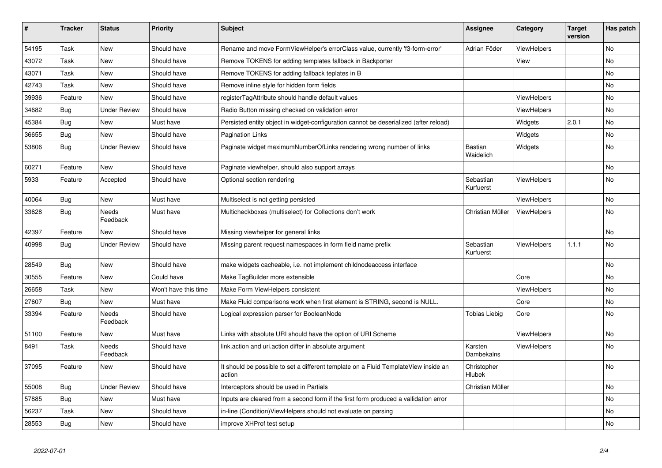| $\sharp$ | <b>Tracker</b> | <b>Status</b>            | <b>Priority</b>      | Subject                                                                                       | <b>Assignee</b>             | Category           | <b>Target</b><br>version | Has patch |
|----------|----------------|--------------------------|----------------------|-----------------------------------------------------------------------------------------------|-----------------------------|--------------------|--------------------------|-----------|
| 54195    | Task           | <b>New</b>               | Should have          | Rename and move FormViewHelper's errorClass value, currently 'f3-form-error'                  | Adrian Föder                | ViewHelpers        |                          | No.       |
| 43072    | Task           | New                      | Should have          | Remove TOKENS for adding templates fallback in Backporter                                     |                             | View               |                          | No        |
| 43071    | Task           | New                      | Should have          | Remove TOKENS for adding fallback teplates in B                                               |                             |                    |                          | No        |
| 42743    | Task           | New                      | Should have          | Remove inline style for hidden form fields                                                    |                             |                    |                          | No        |
| 39936    | Feature        | <b>New</b>               | Should have          | registerTagAttribute should handle default values                                             |                             | <b>ViewHelpers</b> |                          | No        |
| 34682    | Bug            | <b>Under Review</b>      | Should have          | Radio Button missing checked on validation error                                              |                             | <b>ViewHelpers</b> |                          | No        |
| 45384    | <b>Bug</b>     | New                      | Must have            | Persisted entity object in widget-configuration cannot be deserialized (after reload)         |                             | Widgets            | 2.0.1                    | No        |
| 36655    | <b>Bug</b>     | <b>New</b>               | Should have          | <b>Pagination Links</b>                                                                       |                             | Widgets            |                          | No        |
| 53806    | <b>Bug</b>     | <b>Under Review</b>      | Should have          | Paginate widget maximumNumberOfLinks rendering wrong number of links                          | <b>Bastian</b><br>Waidelich | Widgets            |                          | No        |
| 60271    | Feature        | <b>New</b>               | Should have          | Paginate viewhelper, should also support arrays                                               |                             |                    |                          | No        |
| 5933     | Feature        | Accepted                 | Should have          | Optional section rendering                                                                    | Sebastian<br>Kurfuerst      | <b>ViewHelpers</b> |                          | No        |
| 40064    | Bug            | New                      | Must have            | Multiselect is not getting persisted                                                          |                             | ViewHelpers        |                          | No        |
| 33628    | <b>Bug</b>     | <b>Needs</b><br>Feedback | Must have            | Multicheckboxes (multiselect) for Collections don't work                                      | Christian Müller            | ViewHelpers        |                          | <b>No</b> |
| 42397    | Feature        | <b>New</b>               | Should have          | Missing viewhelper for general links                                                          |                             |                    |                          | <b>No</b> |
| 40998    | <b>Bug</b>     | <b>Under Review</b>      | Should have          | Missing parent request namespaces in form field name prefix                                   | Sebastian<br>Kurfuerst      | ViewHelpers        | 1.1.1                    | <b>No</b> |
| 28549    | <b>Bug</b>     | New                      | Should have          | make widgets cacheable, i.e. not implement childnodeaccess interface                          |                             |                    |                          | No        |
| 30555    | Feature        | New                      | Could have           | Make TagBuilder more extensible                                                               |                             | Core               |                          | No        |
| 26658    | Task           | <b>New</b>               | Won't have this time | Make Form ViewHelpers consistent                                                              |                             | <b>ViewHelpers</b> |                          | No        |
| 27607    | <b>Bug</b>     | <b>New</b>               | Must have            | Make Fluid comparisons work when first element is STRING, second is NULL.                     |                             | Core               |                          | No.       |
| 33394    | Feature        | Needs<br>Feedback        | Should have          | Logical expression parser for BooleanNode                                                     | Tobias Liebig               | Core               |                          | No        |
| 51100    | Feature        | New                      | Must have            | Links with absolute URI should have the option of URI Scheme                                  |                             | ViewHelpers        |                          | No        |
| 8491     | Task           | Needs<br>Feedback        | Should have          | link.action and uri.action differ in absolute argument                                        | Karsten<br>Dambekalns       | ViewHelpers        |                          | No        |
| 37095    | Feature        | New                      | Should have          | It should be possible to set a different template on a Fluid TemplateView inside an<br>action | Christopher<br>Hlubek       |                    |                          | No        |
| 55008    | Bug            | <b>Under Review</b>      | Should have          | Interceptors should be used in Partials                                                       | Christian Müller            |                    |                          | No        |
| 57885    | Bug            | New                      | Must have            | Inputs are cleared from a second form if the first form produced a vallidation error          |                             |                    |                          | No        |
| 56237    | Task           | New                      | Should have          | in-line (Condition) View Helpers should not evaluate on parsing                               |                             |                    |                          | No        |
| 28553    | Bug            | New                      | Should have          | improve XHProf test setup                                                                     |                             |                    |                          | No        |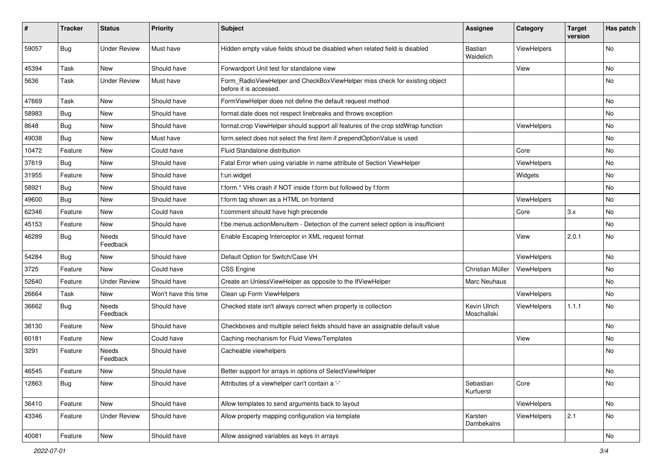| ∦     | <b>Tracker</b> | <b>Status</b>            | <b>Priority</b>      | <b>Subject</b>                                                                                       | <b>Assignee</b>             | Category    | <b>Target</b><br>version | Has patch |
|-------|----------------|--------------------------|----------------------|------------------------------------------------------------------------------------------------------|-----------------------------|-------------|--------------------------|-----------|
| 59057 | Bug            | <b>Under Review</b>      | Must have            | Hidden empty value fields shoud be disabled when related field is disabled                           | Bastian<br>Waidelich        | ViewHelpers |                          | No        |
| 45394 | Task           | New                      | Should have          | Forwardport Unit test for standalone view                                                            |                             | View        |                          | No        |
| 5636  | Task           | <b>Under Review</b>      | Must have            | Form_RadioViewHelper and CheckBoxViewHelper miss check for existing object<br>before it is accessed. |                             |             |                          | No        |
| 47669 | Task           | <b>New</b>               | Should have          | FormViewHelper does not define the default request method                                            |                             |             |                          | No.       |
| 58983 | Bug            | New                      | Should have          | format.date does not respect linebreaks and throws exception                                         |                             |             |                          | No        |
| 8648  | Bug            | New                      | Should have          | format.crop ViewHelper should support all features of the crop stdWrap function                      |                             | ViewHelpers |                          | No        |
| 49038 | Bug            | New                      | Must have            | form.select does not select the first item if prependOptionValue is used                             |                             |             |                          | No        |
| 10472 | Feature        | New                      | Could have           | <b>Fluid Standalone distribution</b>                                                                 |                             | Core        |                          | No        |
| 37619 | Bug            | New                      | Should have          | Fatal Error when using variable in name attribute of Section ViewHelper                              |                             | ViewHelpers |                          | No        |
| 31955 | Feature        | New                      | Should have          | f:uri.widget                                                                                         |                             | Widgets     |                          | No        |
| 58921 | Bug            | New                      | Should have          | f:form.* VHs crash if NOT inside f:form but followed by f:form                                       |                             |             |                          | No        |
| 49600 | Bug            | <b>New</b>               | Should have          | f:form tag shown as a HTML on frontend                                                               |                             | ViewHelpers |                          | No        |
| 62346 | Feature        | New                      | Could have           | f:comment should have high precende                                                                  |                             | Core        | 3.x                      | No        |
| 45153 | Feature        | New                      | Should have          | f:be.menus.actionMenuItem - Detection of the current select option is insufficient                   |                             |             |                          | No        |
| 46289 | Bug            | <b>Needs</b><br>Feedback | Should have          | Enable Escaping Interceptor in XML request format                                                    |                             | View        | 2.0.1                    | No        |
| 54284 | Bug            | New                      | Should have          | Default Option for Switch/Case VH                                                                    |                             | ViewHelpers |                          | No.       |
| 3725  | Feature        | New                      | Could have           | <b>CSS Engine</b>                                                                                    | Christian Müller            | ViewHelpers |                          | No        |
| 52640 | Feature        | <b>Under Review</b>      | Should have          | Create an UnlessViewHelper as opposite to the IfViewHelper                                           | <b>Marc Neuhaus</b>         |             |                          | No        |
| 26664 | <b>Task</b>    | New                      | Won't have this time | Clean up Form ViewHelpers                                                                            |                             | ViewHelpers |                          | No        |
| 36662 | Bug            | Needs<br>Feedback        | Should have          | Checked state isn't always correct when property is collection                                       | Kevin Ulrich<br>Moschallski | ViewHelpers | 1.1.1                    | No        |
| 38130 | Feature        | New                      | Should have          | Checkboxes and multiple select fields should have an assignable default value                        |                             |             |                          | No        |
| 60181 | Feature        | New                      | Could have           | Caching mechanism for Fluid Views/Templates                                                          |                             | View        |                          | No        |
| 3291  | Feature        | <b>Needs</b><br>Feedback | Should have          | Cacheable viewhelpers                                                                                |                             |             |                          | No        |
| 46545 | Feature        | New                      | Should have          | Better support for arrays in options of SelectViewHelper                                             |                             |             |                          | No        |
| 12863 | <b>Bug</b>     | New                      | Should have          | Attributes of a viewhelper can't contain a '-'                                                       | Sebastian<br>Kurfuerst      | Core        |                          | No        |
| 36410 | Feature        | New                      | Should have          | Allow templates to send arguments back to layout                                                     |                             | ViewHelpers |                          | No        |
| 43346 | Feature        | <b>Under Review</b>      | Should have          | Allow property mapping configuration via template                                                    | Karsten<br>Dambekalns       | ViewHelpers | 2.1                      | No        |
| 40081 | Feature        | New                      | Should have          | Allow assigned variables as keys in arrays                                                           |                             |             |                          | No        |